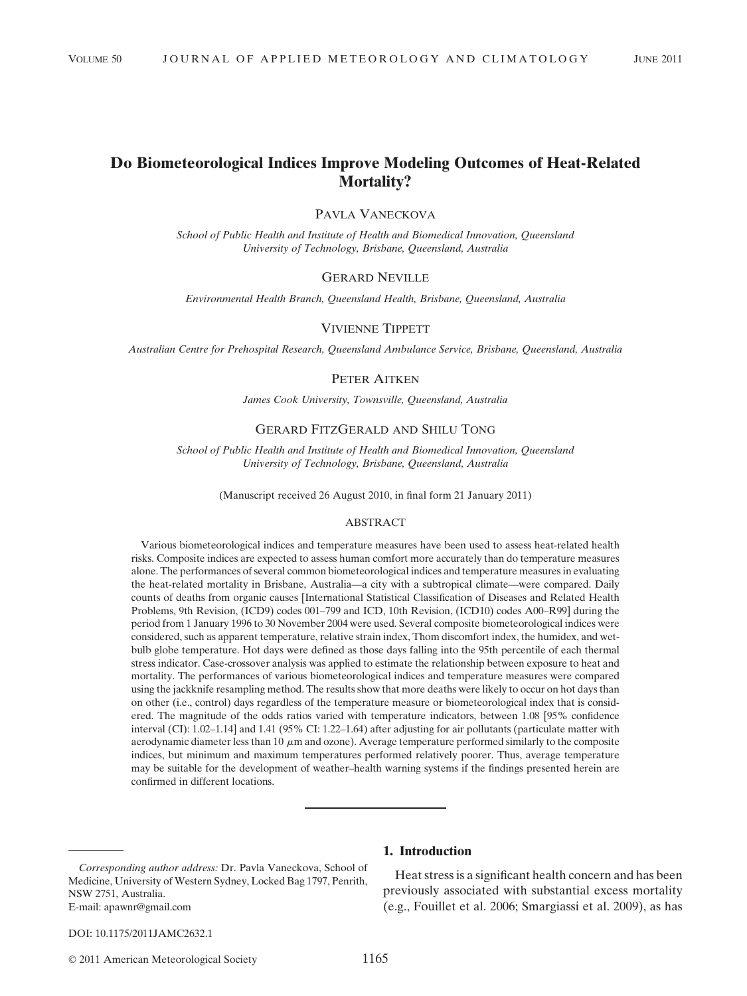# Do Biometeorological Indices Improve Modeling Outcomes of Heat-Related Mortality?

PAVLA VANECKOVA

School of Public Health and Institute of Health and Biomedical Innovation, Queensland University of Technology, Brisbane, Queensland, Australia

#### GERARD NEVILLE

Environmental Health Branch, Queensland Health, Brisbane, Queensland, Australia

VIVIENNE TIPPETT

Australian Centre for Prehospital Research, Queensland Ambulance Service, Brisbane, Queensland, Australia

PETER AITKEN

James Cook University, Townsville, Queensland, Australia

### GERARD FITZGERALD AND SHILU TONG

School of Public Health and Institute of Health and Biomedical Innovation, Queensland University of Technology, Brisbane, Queensland, Australia

(Manuscript received 26 August 2010, in final form 21 January 2011)

#### ABSTRACT

Various biometeorological indices and temperature measures have been used to assess heat-related health risks. Composite indices are expected to assess human comfort more accurately than do temperature measures alone. The performances of several common biometeorological indices and temperature measures in evaluating the heat-related mortality in Brisbane, Australia—a city with a subtropical climate—were compared. Daily counts of deaths from organic causes [International Statistical Classification of Diseases and Related Health Problems, 9th Revision, (ICD9) codes 001–799 and ICD, 10th Revision, (ICD10) codes A00–R99] during the period from 1 January 1996 to 30 November 2004 were used. Several composite biometeorological indices were considered, such as apparent temperature, relative strain index, Thom discomfort index, the humidex, and wetbulb globe temperature. Hot days were defined as those days falling into the 95th percentile of each thermal stress indicator. Case-crossover analysis was applied to estimate the relationship between exposure to heat and mortality. The performances of various biometeorological indices and temperature measures were compared using the jackknife resampling method. The results show that more deaths were likely to occur on hot days than on other (i.e., control) days regardless of the temperature measure or biometeorological index that is considered. The magnitude of the odds ratios varied with temperature indicators, between 1.08 [95% confidence interval (CI): 1.02–1.14] and 1.41 (95% CI: 1.22–1.64) after adjusting for air pollutants (particulate matter with aerodynamic diameter less than 10  $\mu$ m and ozone). Average temperature performed similarly to the composite indices, but minimum and maximum temperatures performed relatively poorer. Thus, average temperature may be suitable for the development of weather–health warning systems if the findings presented herein are confirmed in different locations.

Corresponding author address: Dr. Pavla Vaneckova, School of Medicine, University of Western Sydney, Locked Bag 1797, Penrith, NSW 2751, Australia. E-mail: apawnr@gmail.com

#### DOI: 10.1175/2011JAMC2632.1

1. Introduction

Heat stress is a significant health concern and has been previously associated with substantial excess mortality (e.g., Fouillet et al. 2006; Smargiassi et al. 2009), as has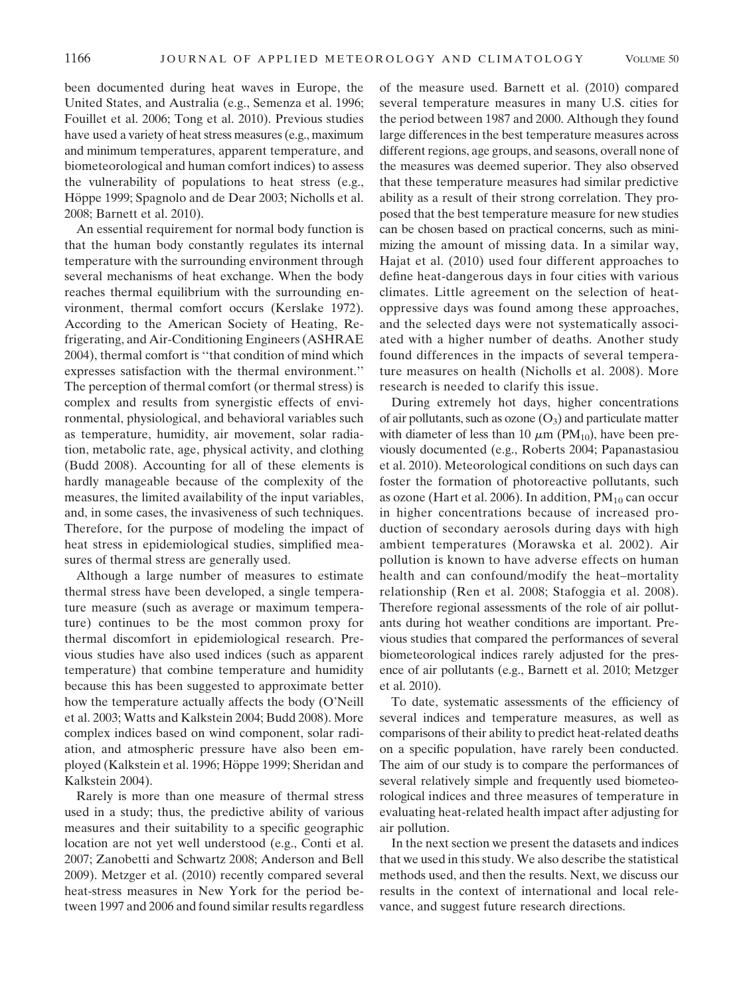been documented during heat waves in Europe, the United States, and Australia (e.g., Semenza et al. 1996; Fouillet et al. 2006; Tong et al. 2010). Previous studies have used a variety of heat stress measures (e.g., maximum and minimum temperatures, apparent temperature, and biometeorological and human comfort indices) to assess the vulnerability of populations to heat stress (e.g., Höppe 1999; Spagnolo and de Dear 2003; Nicholls et al. 2008; Barnett et al. 2010).

An essential requirement for normal body function is that the human body constantly regulates its internal temperature with the surrounding environment through several mechanisms of heat exchange. When the body reaches thermal equilibrium with the surrounding environment, thermal comfort occurs (Kerslake 1972). According to the American Society of Heating, Refrigerating, and Air-Conditioning Engineers (ASHRAE 2004), thermal comfort is ''that condition of mind which expresses satisfaction with the thermal environment.'' The perception of thermal comfort (or thermal stress) is complex and results from synergistic effects of environmental, physiological, and behavioral variables such as temperature, humidity, air movement, solar radiation, metabolic rate, age, physical activity, and clothing (Budd 2008). Accounting for all of these elements is hardly manageable because of the complexity of the measures, the limited availability of the input variables, and, in some cases, the invasiveness of such techniques. Therefore, for the purpose of modeling the impact of heat stress in epidemiological studies, simplified measures of thermal stress are generally used.

Although a large number of measures to estimate thermal stress have been developed, a single temperature measure (such as average or maximum temperature) continues to be the most common proxy for thermal discomfort in epidemiological research. Previous studies have also used indices (such as apparent temperature) that combine temperature and humidity because this has been suggested to approximate better how the temperature actually affects the body (O'Neill et al. 2003; Watts and Kalkstein 2004; Budd 2008). More complex indices based on wind component, solar radiation, and atmospheric pressure have also been employed (Kalkstein et al. 1996; Höppe 1999; Sheridan and Kalkstein 2004).

Rarely is more than one measure of thermal stress used in a study; thus, the predictive ability of various measures and their suitability to a specific geographic location are not yet well understood (e.g., Conti et al. 2007; Zanobetti and Schwartz 2008; Anderson and Bell 2009). Metzger et al. (2010) recently compared several heat-stress measures in New York for the period between 1997 and 2006 and found similar results regardless of the measure used. Barnett et al. (2010) compared several temperature measures in many U.S. cities for the period between 1987 and 2000. Although they found large differences in the best temperature measures across different regions, age groups, and seasons, overall none of the measures was deemed superior. They also observed that these temperature measures had similar predictive ability as a result of their strong correlation. They proposed that the best temperature measure for new studies can be chosen based on practical concerns, such as minimizing the amount of missing data. In a similar way, Hajat et al. (2010) used four different approaches to define heat-dangerous days in four cities with various climates. Little agreement on the selection of heatoppressive days was found among these approaches, and the selected days were not systematically associated with a higher number of deaths. Another study found differences in the impacts of several temperature measures on health (Nicholls et al. 2008). More research is needed to clarify this issue.

During extremely hot days, higher concentrations of air pollutants, such as ozone  $(O_3)$  and particulate matter with diameter of less than 10  $\mu$ m (PM<sub>10</sub>), have been previously documented (e.g., Roberts 2004; Papanastasiou et al. 2010). Meteorological conditions on such days can foster the formation of photoreactive pollutants, such as ozone (Hart et al. 2006). In addition,  $PM_{10}$  can occur in higher concentrations because of increased production of secondary aerosols during days with high ambient temperatures (Morawska et al. 2002). Air pollution is known to have adverse effects on human health and can confound/modify the heat–mortality relationship (Ren et al. 2008; Stafoggia et al. 2008). Therefore regional assessments of the role of air pollutants during hot weather conditions are important. Previous studies that compared the performances of several biometeorological indices rarely adjusted for the presence of air pollutants (e.g., Barnett et al. 2010; Metzger et al. 2010).

To date, systematic assessments of the efficiency of several indices and temperature measures, as well as comparisons of their ability to predict heat-related deaths on a specific population, have rarely been conducted. The aim of our study is to compare the performances of several relatively simple and frequently used biometeorological indices and three measures of temperature in evaluating heat-related health impact after adjusting for air pollution.

In the next section we present the datasets and indices that we used in this study. We also describe the statistical methods used, and then the results. Next, we discuss our results in the context of international and local relevance, and suggest future research directions.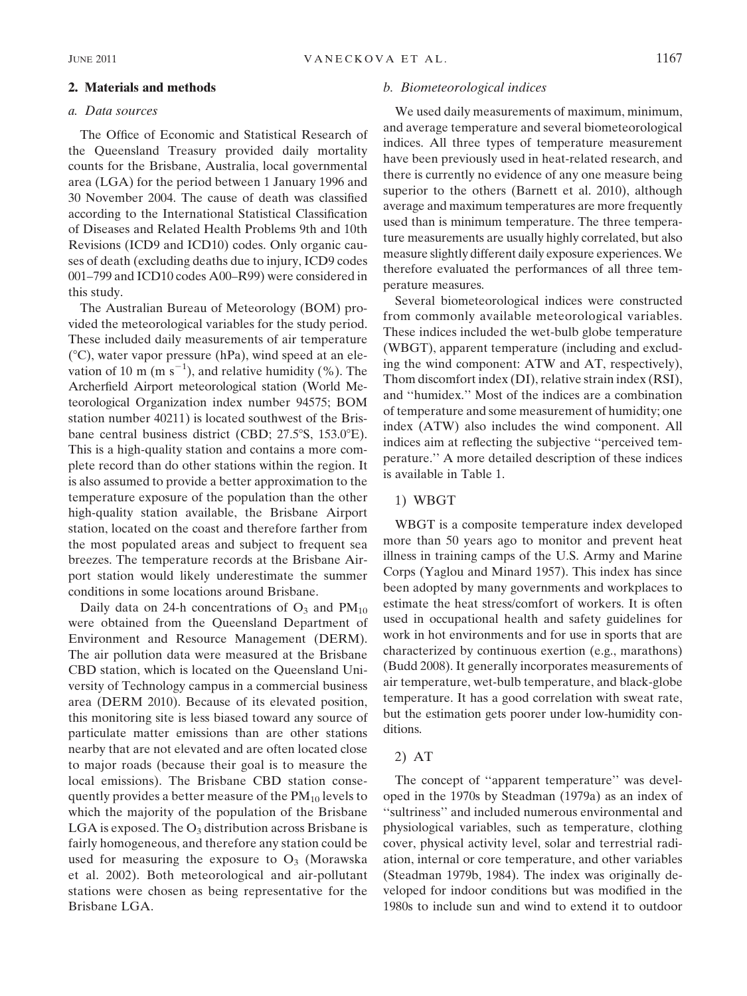### 2. Materials and methods

#### a. Data sources

The Office of Economic and Statistical Research of the Queensland Treasury provided daily mortality counts for the Brisbane, Australia, local governmental area (LGA) for the period between 1 January 1996 and 30 November 2004. The cause of death was classified according to the International Statistical Classification of Diseases and Related Health Problems 9th and 10th Revisions (ICD9 and ICD10) codes. Only organic causes of death (excluding deaths due to injury, ICD9 codes 001–799 and ICD10 codes A00–R99) were considered in this study.

The Australian Bureau of Meteorology (BOM) provided the meteorological variables for the study period. These included daily measurements of air temperature  $(°C)$ , water vapor pressure (hPa), wind speed at an elevation of 10 m (m  $s^{-1}$ ), and relative humidity (%). The Archerfield Airport meteorological station (World Meteorological Organization index number 94575; BOM station number 40211) is located southwest of the Brisbane central business district (CBD;  $27.5^{\circ}$ S,  $153.0^{\circ}$ E). This is a high-quality station and contains a more complete record than do other stations within the region. It is also assumed to provide a better approximation to the temperature exposure of the population than the other high-quality station available, the Brisbane Airport station, located on the coast and therefore farther from the most populated areas and subject to frequent sea breezes. The temperature records at the Brisbane Airport station would likely underestimate the summer conditions in some locations around Brisbane.

Daily data on 24-h concentrations of  $O_3$  and  $PM_{10}$ were obtained from the Queensland Department of Environment and Resource Management (DERM). The air pollution data were measured at the Brisbane CBD station, which is located on the Queensland University of Technology campus in a commercial business area (DERM 2010). Because of its elevated position, this monitoring site is less biased toward any source of particulate matter emissions than are other stations nearby that are not elevated and are often located close to major roads (because their goal is to measure the local emissions). The Brisbane CBD station consequently provides a better measure of the  $PM_{10}$  levels to which the majority of the population of the Brisbane LGA is exposed. The  $O_3$  distribution across Brisbane is fairly homogeneous, and therefore any station could be used for measuring the exposure to  $O_3$  (Morawska et al. 2002). Both meteorological and air-pollutant stations were chosen as being representative for the Brisbane LGA.

### b. Biometeorological indices

We used daily measurements of maximum, minimum, and average temperature and several biometeorological indices. All three types of temperature measurement have been previously used in heat-related research, and there is currently no evidence of any one measure being superior to the others (Barnett et al. 2010), although average and maximum temperatures are more frequently used than is minimum temperature. The three temperature measurements are usually highly correlated, but also measure slightly different daily exposure experiences.We therefore evaluated the performances of all three temperature measures.

Several biometeorological indices were constructed from commonly available meteorological variables. These indices included the wet-bulb globe temperature (WBGT), apparent temperature (including and excluding the wind component: ATW and AT, respectively), Thom discomfort index (DI), relative strain index (RSI), and ''humidex.'' Most of the indices are a combination of temperature and some measurement of humidity; one index (ATW) also includes the wind component. All indices aim at reflecting the subjective ''perceived temperature.'' A more detailed description of these indices is available in Table 1.

## 1) WBGT

WBGT is a composite temperature index developed more than 50 years ago to monitor and prevent heat illness in training camps of the U.S. Army and Marine Corps (Yaglou and Minard 1957). This index has since been adopted by many governments and workplaces to estimate the heat stress/comfort of workers. It is often used in occupational health and safety guidelines for work in hot environments and for use in sports that are characterized by continuous exertion (e.g., marathons) (Budd 2008). It generally incorporates measurements of air temperature, wet-bulb temperature, and black-globe temperature. It has a good correlation with sweat rate, but the estimation gets poorer under low-humidity conditions.

### 2) AT

The concept of ''apparent temperature'' was developed in the 1970s by Steadman (1979a) as an index of ''sultriness'' and included numerous environmental and physiological variables, such as temperature, clothing cover, physical activity level, solar and terrestrial radiation, internal or core temperature, and other variables (Steadman 1979b, 1984). The index was originally developed for indoor conditions but was modified in the 1980s to include sun and wind to extend it to outdoor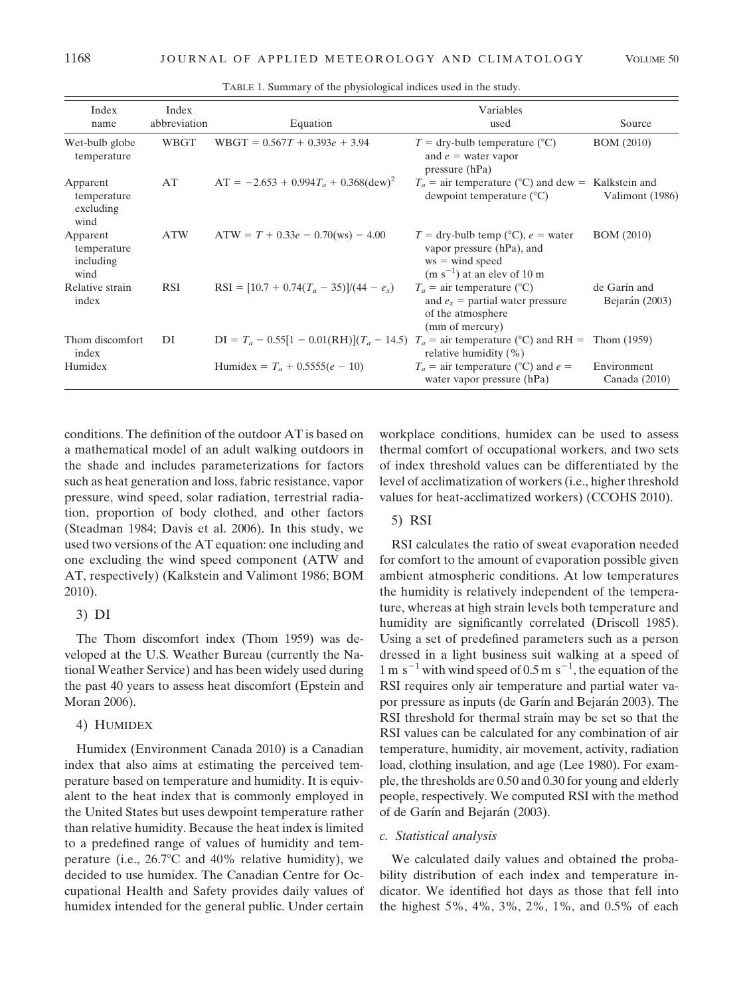| Index                                        | Index        |                                                   | Variables                                                                                                               |                                |
|----------------------------------------------|--------------|---------------------------------------------------|-------------------------------------------------------------------------------------------------------------------------|--------------------------------|
| name                                         | abbreviation | Equation                                          | used                                                                                                                    | Source                         |
| Wet-bulb globe<br>temperature                | WBGT         | $WBGT = 0.567T + 0.393e + 3.94$                   | $T =$ dry-bulb temperature (°C)<br>and $e =$ water vapor<br>pressure (hPa)                                              | <b>BOM</b> (2010)              |
| Apparent<br>temperature<br>excluding<br>wind | AT           | $AT = -2.653 + 0.994T_a + 0.368 \text{(dew)}^2$   | $T_a$ = air temperature (°C) and dew = Kalkstein and<br>dewpoint temperature $(^{\circ}C)$                              | Valimont (1986)                |
| Apparent<br>temperature<br>including<br>wind | <b>ATW</b>   | $ATW = T + 0.33e - 0.70(ws) - 4.00$               | $T =$ dry-bulb temp (°C), $e =$ water<br>vapor pressure (hPa), and<br>$ws = wind speed$<br>$(m s-1)$ at an elev of 10 m | <b>BOM</b> (2010)              |
| Relative strain<br>index                     | <b>RSI</b>   | $\text{RSI} = [10.7 + 0.74(T_a - 35)]/(44 - e_x)$ | $T_a$ = air temperature (°C)<br>and $e_x$ = partial water pressure<br>of the atmosphere<br>(mm of mercury)              | de Garín and<br>Bejarán (2003) |
| Thom discomfort<br>index                     | DI           | $DI = T_a - 0.55[1 - 0.01(RH)](T_a - 14.5)$       | $T_a$ = air temperature (°C) and RH = Thom (1959)<br>relative humidity $(\%)$                                           |                                |
| Humidex                                      |              | Humidex = $T_a + 0.5555(e - 10)$                  | $T_a$ = air temperature (°C) and e =<br>water vapor pressure (hPa)                                                      | Environment<br>Canada (2010)   |

TABLE 1. Summary of the physiological indices used in the study.

conditions. The definition of the outdoor AT is based on a mathematical model of an adult walking outdoors in the shade and includes parameterizations for factors such as heat generation and loss, fabric resistance, vapor pressure, wind speed, solar radiation, terrestrial radiation, proportion of body clothed, and other factors (Steadman 1984; Davis et al. 2006). In this study, we used two versions of the AT equation: one including and one excluding the wind speed component (ATW and AT, respectively) (Kalkstein and Valimont 1986; BOM 2010).

# 3) DI

The Thom discomfort index (Thom 1959) was developed at the U.S. Weather Bureau (currently the National Weather Service) and has been widely used during the past 40 years to assess heat discomfort (Epstein and Moran 2006).

### 4) HUMIDEX

Humidex (Environment Canada 2010) is a Canadian index that also aims at estimating the perceived temperature based on temperature and humidity. It is equivalent to the heat index that is commonly employed in the United States but uses dewpoint temperature rather than relative humidity. Because the heat index is limited to a predefined range of values of humidity and temperature (i.e.,  $26.7^{\circ}$ C and 40% relative humidity), we decided to use humidex. The Canadian Centre for Occupational Health and Safety provides daily values of humidex intended for the general public. Under certain

workplace conditions, humidex can be used to assess thermal comfort of occupational workers, and two sets of index threshold values can be differentiated by the level of acclimatization of workers (i.e., higher threshold values for heat-acclimatized workers) (CCOHS 2010).

### 5) RSI

RSI calculates the ratio of sweat evaporation needed for comfort to the amount of evaporation possible given ambient atmospheric conditions. At low temperatures the humidity is relatively independent of the temperature, whereas at high strain levels both temperature and humidity are significantly correlated (Driscoll 1985). Using a set of predefined parameters such as a person dressed in a light business suit walking at a speed of 1 m s<sup> $-1$ </sup> with wind speed of 0.5 m s<sup> $-1$ </sup>, the equation of the RSI requires only air temperature and partial water vapor pressure as inputs (de Garín and Bejarán 2003). The RSI threshold for thermal strain may be set so that the RSI values can be calculated for any combination of air temperature, humidity, air movement, activity, radiation load, clothing insulation, and age (Lee 1980). For example, the thresholds are 0.50 and 0.30 for young and elderly people, respectively. We computed RSI with the method of de Garín and Bejarán (2003).

### c. Statistical analysis

We calculated daily values and obtained the probability distribution of each index and temperature indicator. We identified hot days as those that fell into the highest 5%, 4%, 3%, 2%, 1%, and 0.5% of each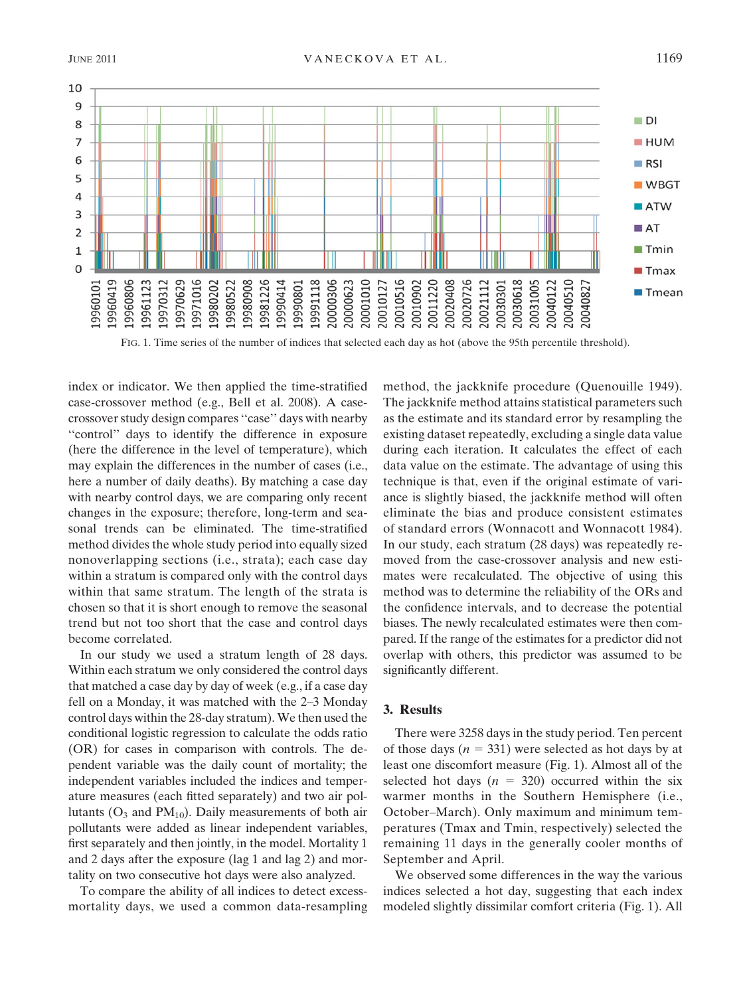

FIG. 1. Time series of the number of indices that selected each day as hot (above the 95th percentile threshold).

index or indicator. We then applied the time-stratified case-crossover method (e.g., Bell et al. 2008). A casecrossover study design compares ''case'' days with nearby ''control'' days to identify the difference in exposure (here the difference in the level of temperature), which may explain the differences in the number of cases (i.e., here a number of daily deaths). By matching a case day with nearby control days, we are comparing only recent changes in the exposure; therefore, long-term and seasonal trends can be eliminated. The time-stratified method divides the whole study period into equally sized nonoverlapping sections (i.e., strata); each case day within a stratum is compared only with the control days within that same stratum. The length of the strata is chosen so that it is short enough to remove the seasonal trend but not too short that the case and control days become correlated.

In our study we used a stratum length of 28 days. Within each stratum we only considered the control days that matched a case day by day of week (e.g., if a case day fell on a Monday, it was matched with the 2–3 Monday control days within the 28-day stratum). We then used the conditional logistic regression to calculate the odds ratio (OR) for cases in comparison with controls. The dependent variable was the daily count of mortality; the independent variables included the indices and temperature measures (each fitted separately) and two air pollutants  $(O_3$  and  $PM_{10}$ ). Daily measurements of both air pollutants were added as linear independent variables, first separately and then jointly, in the model. Mortality 1 and 2 days after the exposure (lag 1 and lag 2) and mortality on two consecutive hot days were also analyzed.

To compare the ability of all indices to detect excessmortality days, we used a common data-resampling

method, the jackknife procedure (Quenouille 1949). The jackknife method attains statistical parameters such as the estimate and its standard error by resampling the existing dataset repeatedly, excluding a single data value during each iteration. It calculates the effect of each data value on the estimate. The advantage of using this technique is that, even if the original estimate of variance is slightly biased, the jackknife method will often eliminate the bias and produce consistent estimates of standard errors (Wonnacott and Wonnacott 1984). In our study, each stratum (28 days) was repeatedly removed from the case-crossover analysis and new estimates were recalculated. The objective of using this method was to determine the reliability of the ORs and the confidence intervals, and to decrease the potential biases. The newly recalculated estimates were then compared. If the range of the estimates for a predictor did not overlap with others, this predictor was assumed to be significantly different.

# 3. Results

There were 3258 days in the study period. Ten percent of those days ( $n = 331$ ) were selected as hot days by at least one discomfort measure (Fig. 1). Almost all of the selected hot days ( $n = 320$ ) occurred within the six warmer months in the Southern Hemisphere (i.e., October–March). Only maximum and minimum temperatures (Tmax and Tmin, respectively) selected the remaining 11 days in the generally cooler months of September and April.

We observed some differences in the way the various indices selected a hot day, suggesting that each index modeled slightly dissimilar comfort criteria (Fig. 1). All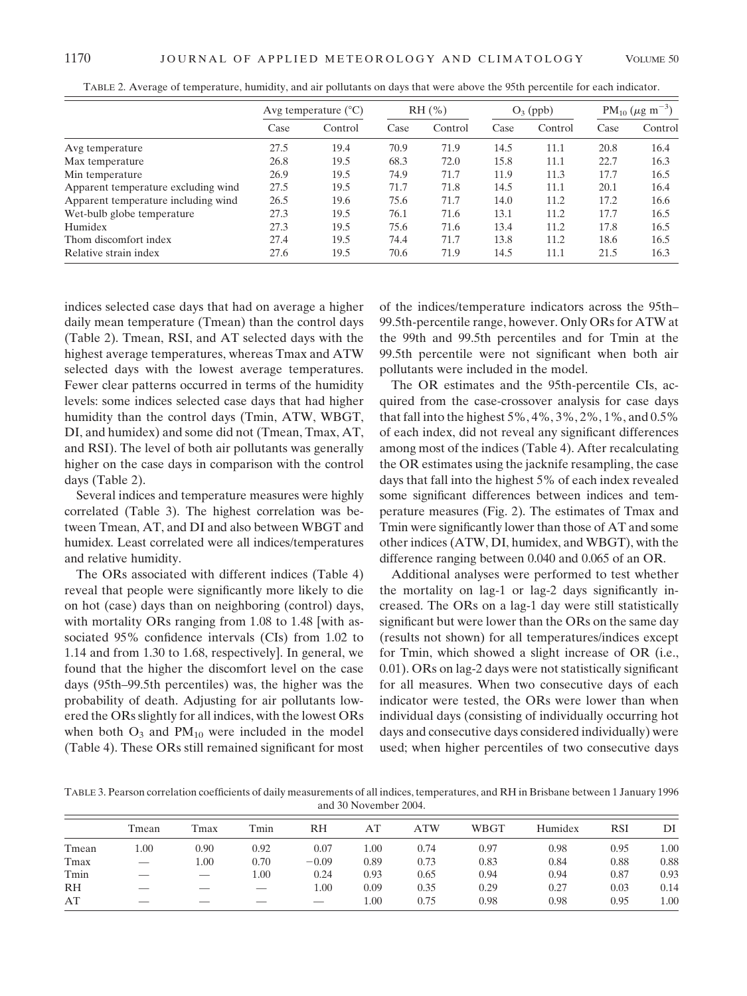|                                     | Avg temperature $(^{\circ}C)$ |         |      | $RH$ $(\% )$ | $O_3$ (ppb) |         | $PM_{10}$ ( $\mu$ g m |         |
|-------------------------------------|-------------------------------|---------|------|--------------|-------------|---------|-----------------------|---------|
|                                     | Case                          | Control | Case | Control      | Case        | Control | Case                  | Control |
| Avg temperature                     | 27.5                          | 19.4    | 70.9 | 71.9         | 14.5        | 11.1    | 20.8                  | 16.4    |
| Max temperature                     | 26.8                          | 19.5    | 68.3 | 72.0         | 15.8        | 11.1    | 22.7                  | 16.3    |
| Min temperature                     | 26.9                          | 19.5    | 74.9 | 71.7         | 11.9        | 11.3    | 17.7                  | 16.5    |
| Apparent temperature excluding wind | 27.5                          | 19.5    | 71.7 | 71.8         | 14.5        | 11.1    | 20.1                  | 16.4    |
| Apparent temperature including wind | 26.5                          | 19.6    | 75.6 | 71.7         | 14.0        | 11.2    | 17.2                  | 16.6    |
| Wet-bulb globe temperature          | 27.3                          | 19.5    | 76.1 | 71.6         | 13.1        | 11.2    | 17.7                  | 16.5    |
| Humidex                             | 27.3                          | 19.5    | 75.6 | 71.6         | 13.4        | 11.2    | 17.8                  | 16.5    |
| Thom discomfort index               | 27.4                          | 19.5    | 74.4 | 71.7         | 13.8        | 11.2    | 18.6                  | 16.5    |
| Relative strain index               | 27.6                          | 19.5    | 70.6 | 71.9         | 14.5        | 11.1    | 21.5                  | 16.3    |

TABLE 2. Average of temperature, humidity, and air pollutants on days that were above the 95th percentile for each indicator.

indices selected case days that had on average a higher daily mean temperature (Tmean) than the control days (Table 2). Tmean, RSI, and AT selected days with the highest average temperatures, whereas Tmax and ATW selected days with the lowest average temperatures. Fewer clear patterns occurred in terms of the humidity levels: some indices selected case days that had higher humidity than the control days (Tmin, ATW, WBGT, DI, and humidex) and some did not (Tmean, Tmax, AT, and RSI). The level of both air pollutants was generally higher on the case days in comparison with the control days (Table 2).

Several indices and temperature measures were highly correlated (Table 3). The highest correlation was between Tmean, AT, and DI and also between WBGT and humidex. Least correlated were all indices/temperatures and relative humidity.

The ORs associated with different indices (Table 4) reveal that people were significantly more likely to die on hot (case) days than on neighboring (control) days, with mortality ORs ranging from 1.08 to 1.48 [with associated 95% confidence intervals (CIs) from 1.02 to 1.14 and from 1.30 to 1.68, respectively]. In general, we found that the higher the discomfort level on the case days (95th–99.5th percentiles) was, the higher was the probability of death. Adjusting for air pollutants lowered the ORs slightly for all indices, with the lowest ORs when both  $O_3$  and  $PM_{10}$  were included in the model (Table 4). These ORs still remained significant for most of the indices/temperature indicators across the 95th– 99.5th-percentile range, however. Only ORs for ATW at the 99th and 99.5th percentiles and for Tmin at the 99.5th percentile were not significant when both air pollutants were included in the model.

The OR estimates and the 95th-percentile CIs, acquired from the case-crossover analysis for case days that fall into the highest 5%, 4%, 3%, 2%, 1%, and 0.5% of each index, did not reveal any significant differences among most of the indices (Table 4). After recalculating the OR estimates using the jacknife resampling, the case days that fall into the highest 5% of each index revealed some significant differences between indices and temperature measures (Fig. 2). The estimates of Tmax and Tmin were significantly lower than those of AT and some other indices (ATW, DI, humidex, and WBGT), with the difference ranging between 0.040 and 0.065 of an OR.

Additional analyses were performed to test whether the mortality on lag-1 or lag-2 days significantly increased. The ORs on a lag-1 day were still statistically significant but were lower than the ORs on the same day (results not shown) for all temperatures/indices except for Tmin, which showed a slight increase of OR (i.e., 0.01). ORs on lag-2 days were not statistically significant for all measures. When two consecutive days of each indicator were tested, the ORs were lower than when individual days (consisting of individually occurring hot days and consecutive days considered individually) were used; when higher percentiles of two consecutive days

TABLE 3. Pearson correlation coefficients of daily measurements of all indices, temperatures, and RH in Brisbane between 1 January 1996 and 30 November 2004.

|                | Tmean | Tmax                     | Tmin   | RH      | AT       | <b>ATW</b> | WBGT | Humidex | RSI  | DI   |
|----------------|-------|--------------------------|--------|---------|----------|------------|------|---------|------|------|
| Tmean          | 1.00  | 0.90                     | 0.92   | 0.07    | .00.     | 0.74       | 0.97 | 0.98    | 0.95 | 00.1 |
| Tmax           | _     | 1.00                     | 0.70   | $-0.09$ | 0.89     | 0.73       | 0.83 | 0.84    | 0.88 | 0.88 |
| Tmin           | $-$   | $\overline{\phantom{a}}$ | 1.00   | 0.24    | 0.93     | 0.65       | 0.94 | 0.94    | 0.87 | 0.93 |
| R <sub>H</sub> |       |                          | $\sim$ | 00.1    | 0.09     | 0.35       | 0.29 | 0.27    | 0.03 | 0.14 |
| AT             |       |                          |        |         | $1.00\,$ | 0.75       | 0.98 | 0.98    | 0.95 | 00.1 |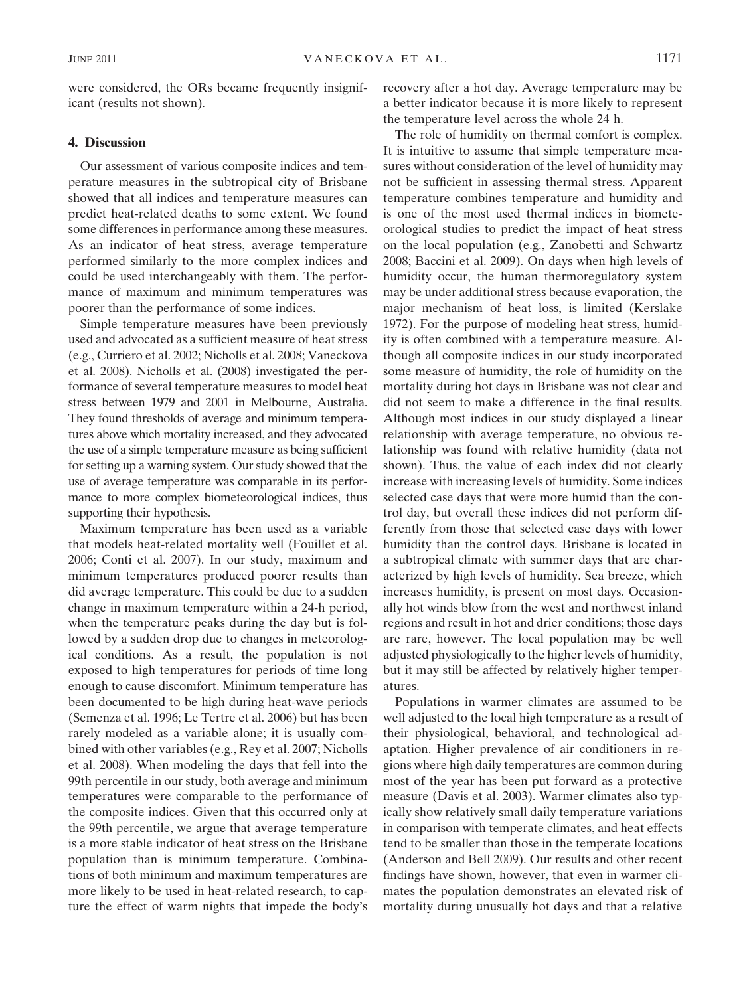were considered, the ORs became frequently insignificant (results not shown).

### 4. Discussion

Our assessment of various composite indices and temperature measures in the subtropical city of Brisbane showed that all indices and temperature measures can predict heat-related deaths to some extent. We found some differences in performance among these measures. As an indicator of heat stress, average temperature performed similarly to the more complex indices and could be used interchangeably with them. The performance of maximum and minimum temperatures was poorer than the performance of some indices.

Simple temperature measures have been previously used and advocated as a sufficient measure of heat stress (e.g., Curriero et al. 2002; Nicholls et al. 2008; Vaneckova et al. 2008). Nicholls et al. (2008) investigated the performance of several temperature measures to model heat stress between 1979 and 2001 in Melbourne, Australia. They found thresholds of average and minimum temperatures above which mortality increased, and they advocated the use of a simple temperature measure as being sufficient for setting up a warning system. Our study showed that the use of average temperature was comparable in its performance to more complex biometeorological indices, thus supporting their hypothesis.

Maximum temperature has been used as a variable that models heat-related mortality well (Fouillet et al. 2006; Conti et al. 2007). In our study, maximum and minimum temperatures produced poorer results than did average temperature. This could be due to a sudden change in maximum temperature within a 24-h period, when the temperature peaks during the day but is followed by a sudden drop due to changes in meteorological conditions. As a result, the population is not exposed to high temperatures for periods of time long enough to cause discomfort. Minimum temperature has been documented to be high during heat-wave periods (Semenza et al. 1996; Le Tertre et al. 2006) but has been rarely modeled as a variable alone; it is usually combined with other variables (e.g., Rey et al. 2007; Nicholls et al. 2008). When modeling the days that fell into the 99th percentile in our study, both average and minimum temperatures were comparable to the performance of the composite indices. Given that this occurred only at the 99th percentile, we argue that average temperature is a more stable indicator of heat stress on the Brisbane population than is minimum temperature. Combinations of both minimum and maximum temperatures are more likely to be used in heat-related research, to capture the effect of warm nights that impede the body's recovery after a hot day. Average temperature may be a better indicator because it is more likely to represent the temperature level across the whole 24 h.

The role of humidity on thermal comfort is complex. It is intuitive to assume that simple temperature measures without consideration of the level of humidity may not be sufficient in assessing thermal stress. Apparent temperature combines temperature and humidity and is one of the most used thermal indices in biometeorological studies to predict the impact of heat stress on the local population (e.g., Zanobetti and Schwartz 2008; Baccini et al. 2009). On days when high levels of humidity occur, the human thermoregulatory system may be under additional stress because evaporation, the major mechanism of heat loss, is limited (Kerslake 1972). For the purpose of modeling heat stress, humidity is often combined with a temperature measure. Although all composite indices in our study incorporated some measure of humidity, the role of humidity on the mortality during hot days in Brisbane was not clear and did not seem to make a difference in the final results. Although most indices in our study displayed a linear relationship with average temperature, no obvious relationship was found with relative humidity (data not shown). Thus, the value of each index did not clearly increase with increasing levels of humidity. Some indices selected case days that were more humid than the control day, but overall these indices did not perform differently from those that selected case days with lower humidity than the control days. Brisbane is located in a subtropical climate with summer days that are characterized by high levels of humidity. Sea breeze, which increases humidity, is present on most days. Occasionally hot winds blow from the west and northwest inland regions and result in hot and drier conditions; those days are rare, however. The local population may be well adjusted physiologically to the higher levels of humidity, but it may still be affected by relatively higher temperatures.

Populations in warmer climates are assumed to be well adjusted to the local high temperature as a result of their physiological, behavioral, and technological adaptation. Higher prevalence of air conditioners in regions where high daily temperatures are common during most of the year has been put forward as a protective measure (Davis et al. 2003). Warmer climates also typically show relatively small daily temperature variations in comparison with temperate climates, and heat effects tend to be smaller than those in the temperate locations (Anderson and Bell 2009). Our results and other recent findings have shown, however, that even in warmer climates the population demonstrates an elevated risk of mortality during unusually hot days and that a relative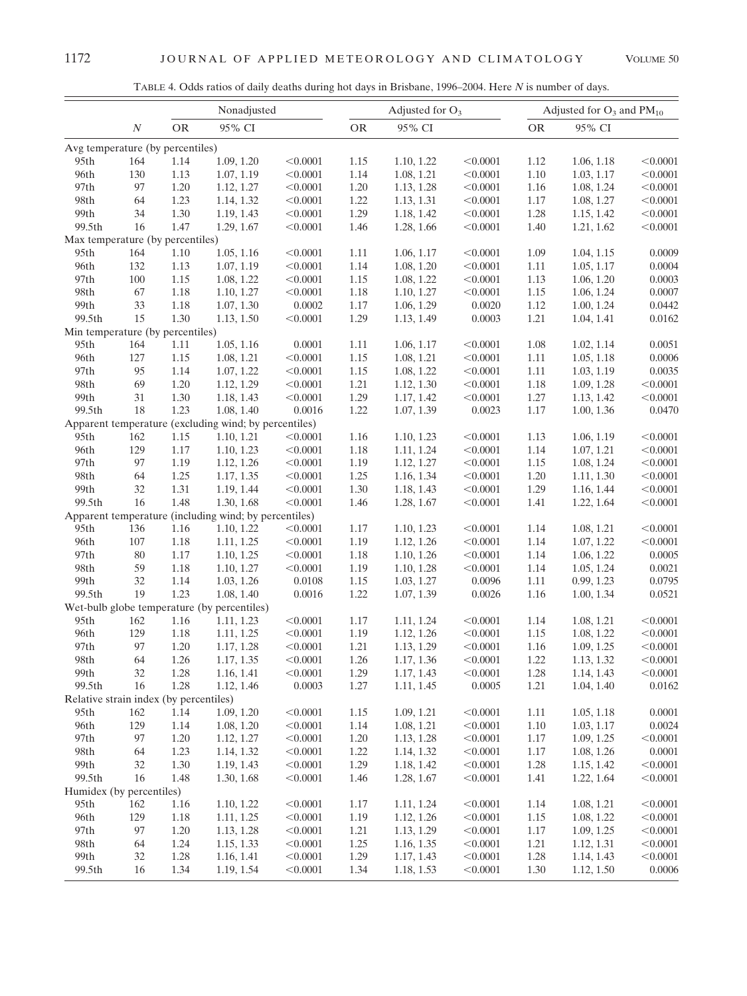TABLE 4. Odds ratios of daily deaths during hot days in Brisbane, 1996–2004. Here N is number of days.

|                                        | Nonadjusted |           |                                                       |          |      | Adjusted for $O_3$ |               |           | Adjusted for $O_3$ and $PM_{10}$ |          |  |
|----------------------------------------|-------------|-----------|-------------------------------------------------------|----------|------|--------------------|---------------|-----------|----------------------------------|----------|--|
|                                        | N           | <b>OR</b> | 95% CI                                                |          | OR   | 95% CI             |               | <b>OR</b> | 95% CI                           |          |  |
| Avg temperature (by percentiles)       |             |           |                                                       |          |      |                    |               |           |                                  |          |  |
| 95th                                   | 164         | 1.14      | 1.09, 1.20                                            | < 0.0001 | 1.15 | 1.10, 1.22         | < 0.0001      | 1.12      | 1.06, 1.18                       | < 0.0001 |  |
| 96th                                   | 130         | 1.13      | 1.07, 1.19                                            | < 0.0001 | 1.14 | 1.08, 1.21         | < 0.0001      | 1.10      | 1.03, 1.17                       | < 0.0001 |  |
| 97th                                   | 97          | 1.20      | 1.12, 1.27                                            | < 0.0001 | 1.20 | 1.13, 1.28         | < 0.0001      | 1.16      | 1.08, 1.24                       | < 0.0001 |  |
| 98th                                   | 64          | 1.23      | 1.14, 1.32                                            | < 0.0001 | 1.22 | 1.13, 1.31         | < 0.0001      | 1.17      | 1.08, 1.27                       | < 0.0001 |  |
| 99th                                   | 34          | $1.30\,$  | 1.19, 1.43                                            | < 0.0001 | 1.29 | 1.18, 1.42         | < 0.0001      | 1.28      | 1.15, 1.42                       | < 0.0001 |  |
| 99.5th                                 | 16          | 1.47      | 1.29, 1.67                                            | < 0.0001 | 1.46 | 1.28, 1.66         | < 0.0001      | 1.40      | 1.21, 1.62                       | < 0.0001 |  |
| Max temperature (by percentiles)       |             |           |                                                       |          |      |                    |               |           |                                  |          |  |
| 95th                                   | 164         | 1.10      | 1.05, 1.16                                            | < 0.0001 | 1.11 | 1.06, 1.17         | < 0.0001      | 1.09      | 1.04, 1.15                       | 0.0009   |  |
| 96th                                   | 132         | 1.13      | 1.07, 1.19                                            | < 0.0001 | 1.14 | 1.08, 1.20         | < 0.0001      | 1.11      | 1.05, 1.17                       | 0.0004   |  |
| 97th                                   | 100         | 1.15      | 1.08, 1.22                                            | < 0.0001 | 1.15 | 1.08, 1.22         | < 0.0001      | 1.13      | 1.06, 1.20                       | 0.0003   |  |
| 98th                                   | 67          | 1.18      | 1.10, 1.27                                            | < 0.0001 | 1.18 | 1.10, 1.27         | < 0.0001      | 1.15      | 1.06, 1.24                       | 0.0007   |  |
| 99th                                   | 33          | $1.18\,$  | 1.07, 1.30                                            | 0.0002   | 1.17 | 1.06, 1.29         | 0.0020        | 1.12      | 1.00, 1.24                       | 0.0442   |  |
| 99.5th                                 | 15          | 1.30      | 1.13, 1.50                                            | < 0.0001 | 1.29 | 1.13, 1.49         | 0.0003        | 1.21      | 1.04, 1.41                       | 0.0162   |  |
| Min temperature (by percentiles)       |             |           |                                                       |          |      |                    |               |           |                                  |          |  |
| 95th                                   | 164         | 1.11      | 1.05, 1.16                                            | 0.0001   | 1.11 | 1.06, 1.17         | < 0.0001      | 1.08      | 1.02, 1.14                       | 0.0051   |  |
| 96th                                   | 127         | 1.15      | 1.08, 1.21                                            | < 0.0001 | 1.15 | 1.08, 1.21         | < 0.0001      | 1.11      | 1.05, 1.18                       | 0.0006   |  |
| 97th                                   | 95          | 1.14      | 1.07, 1.22                                            | < 0.0001 | 1.15 | 1.08, 1.22         | < 0.0001      | 1.11      | 1.03, 1.19                       | 0.0035   |  |
| 98th                                   | 69          | $1.20\,$  | 1.12, 1.29                                            | < 0.0001 | 1.21 | 1.12, 1.30         | < 0.0001      | 1.18      | 1.09, 1.28                       | < 0.0001 |  |
| 99th                                   | 31          | 1.30      | 1.18, 1.43                                            | < 0.0001 | 1.29 | 1.17, 1.42         | < 0.0001      | 1.27      | 1.13, 1.42                       | < 0.0001 |  |
| 99.5th                                 | 18          | 1.23      | 1.08, 1.40                                            | 0.0016   | 1.22 | 1.07, 1.39         | 0.0023        | 1.17      | 1.00, 1.36                       | 0.0470   |  |
|                                        |             |           | Apparent temperature (excluding wind; by percentiles) |          |      |                    |               |           |                                  |          |  |
| 95th                                   | 162         | 1.15      | 1.10, 1.21                                            | < 0.0001 | 1.16 | 1.10, 1.23         | $<\!\!0.0001$ | 1.13      | 1.06, 1.19                       | < 0.0001 |  |
| 96th                                   | 129         | 1.17      | 1.10, 1.23                                            | < 0.0001 | 1.18 | 1.11, 1.24         | < 0.0001      | 1.14      | 1.07, 1.21                       | < 0.0001 |  |
| 97th                                   | 97          | 1.19      | 1.12, 1.26                                            | < 0.0001 | 1.19 | 1.12, 1.27         | < 0.0001      | 1.15      | 1.08, 1.24                       | < 0.0001 |  |
| 98th                                   | 64          | 1.25      | 1.17, 1.35                                            | < 0.0001 | 1.25 | 1.16, 1.34         | < 0.0001      | 1.20      | 1.11, 1.30                       | < 0.0001 |  |
| 99th                                   | 32          | 1.31      | 1.19, 1.44                                            | < 0.0001 | 1.30 | 1.18, 1.43         | < 0.0001      | 1.29      | 1.16, 1.44                       | < 0.0001 |  |
| 99.5th                                 | 16          | 1.48      | 1.30, 1.68                                            | < 0.0001 | 1.46 | 1.28, 1.67         | < 0.0001      | 1.41      | 1.22, 1.64                       | < 0.0001 |  |
|                                        |             |           | Apparent temperature (including wind; by percentiles) |          |      |                    |               |           |                                  |          |  |
| 95th                                   | 136         | 1.16      | 1.10, 1.22                                            | < 0.0001 | 1.17 | 1.10, 1.23         | < 0.0001      | 1.14      | 1.08, 1.21                       | < 0.0001 |  |
| 96th                                   | 107         | 1.18      | 1.11, 1.25                                            | < 0.0001 | 1.19 | 1.12, 1.26         | < 0.0001      | 1.14      | 1.07, 1.22                       | < 0.0001 |  |
| 97th                                   | 80          | 1.17      | 1.10, 1.25                                            | < 0.0001 | 1.18 | 1.10, 1.26         | < 0.0001      | 1.14      | 1.06, 1.22                       | 0.0005   |  |
| 98th                                   | 59          | 1.18      | 1.10, 1.27                                            | < 0.0001 | 1.19 | 1.10, 1.28         | < 0.0001      | 1.14      | 1.05, 1.24                       | 0.0021   |  |
| 99th                                   | 32          | 1.14      | 1.03, 1.26                                            | 0.0108   | 1.15 | 1.03, 1.27         | 0.0096        | 1.11      | 0.99, 1.23                       | 0.0795   |  |
| 99.5th                                 | 19          | 1.23      | 1.08, 1.40                                            | 0.0016   | 1.22 | 1.07, 1.39         | 0.0026        | 1.16      | 1.00, 1.34                       | 0.0521   |  |
|                                        |             |           | Wet-bulb globe temperature (by percentiles)           |          |      |                    |               |           |                                  |          |  |
| 95th                                   | 162         | 1.16      | 1.11, 1.23                                            | < 0.0001 | 1.17 | 1.11, 1.24         | < 0.0001      | 1.14      | 1.08, 1.21                       | < 0.0001 |  |
| 96th                                   | 129         | 1.18      | 1.11, 1.25                                            | < 0.0001 | 1.19 | 1.12, 1.26         | < 0.0001      | 1.15      | 1.08, 1.22                       | < 0.0001 |  |
| 97th                                   | 97          | 1.20      | 1.17, 1.28                                            | < 0.0001 | 1.21 | 1.13, 1.29         | < 0.0001      | 1.16      | 1.09, 1.25                       | < 0.0001 |  |
| 98th                                   | 64          | 1.26      | 1.17, 1.35                                            | < 0.0001 | 1.26 | 1.17, 1.36         | < 0.0001      | 1.22      | 1.13, 1.32                       | < 0.0001 |  |
| 99th                                   | 32          | 1.28      | 1.16, 1.41                                            | < 0.0001 | 1.29 | 1.17, 1.43         | < 0.0001      | 1.28      | 1.14, 1.43                       | < 0.0001 |  |
| 99.5th                                 | 16          | 1.28      | 1.12, 1.46                                            | 0.0003   | 1.27 | 1.11, 1.45         | 0.0005        | 1.21      | 1.04, 1.40                       | 0.0162   |  |
| Relative strain index (by percentiles) |             |           |                                                       |          |      |                    |               |           |                                  |          |  |
| 95th                                   | 162         | 1.14      | 1.09, 1.20                                            | < 0.0001 | 1.15 | 1.09, 1.21         | < 0.0001      | 1.11      | 1.05, 1.18                       | 0.0001   |  |
| 96th                                   | 129         | $1.14\,$  | 1.08, 1.20                                            | < 0.0001 | 1.14 | 1.08, 1.21         | < 0.0001      | $1.10\,$  | 1.03, 1.17                       | 0.0024   |  |
| 97th                                   | 97          | 1.20      | 1.12, 1.27                                            | < 0.0001 | 1.20 | 1.13, 1.28         | < 0.0001      | 1.17      | 1.09, 1.25                       | < 0.0001 |  |
| 98th                                   | 64          | 1.23      | 1.14, 1.32                                            | < 0.0001 | 1.22 | 1.14, 1.32         | < 0.0001      | 1.17      | 1.08, 1.26                       | 0.0001   |  |
| 99th                                   | 32          | 1.30      | 1.19, 1.43                                            | < 0.0001 | 1.29 | 1.18, 1.42         | < 0.0001      | 1.28      | 1.15, 1.42                       | < 0.0001 |  |
| 99.5th                                 | 16          | 1.48      | 1.30, 1.68                                            | < 0.0001 | 1.46 | 1.28, 1.67         | < 0.0001      | 1.41      | 1.22, 1.64                       | < 0.0001 |  |
| Humidex (by percentiles)               |             |           |                                                       |          |      |                    |               |           |                                  |          |  |
| 95th                                   | 162         | 1.16      | 1.10, 1.22                                            | < 0.0001 | 1.17 | 1.11, 1.24         | < 0.0001      | 1.14      | 1.08, 1.21                       | < 0.0001 |  |
| 96th                                   | 129         | 1.18      | 1.11, 1.25                                            | < 0.0001 | 1.19 | 1.12, 1.26         | < 0.0001      | 1.15      | 1.08, 1.22                       | < 0.0001 |  |
| 97th                                   | 97          | 1.20      | 1.13, 1.28                                            | < 0.0001 | 1.21 | 1.13, 1.29         | < 0.0001      | 1.17      | 1.09, 1.25                       | < 0.0001 |  |
| 98th                                   | 64          | 1.24      | 1.15, 1.33                                            | < 0.0001 | 1.25 | 1.16, 1.35         | < 0.0001      | 1.21      | 1.12, 1.31                       | < 0.0001 |  |
| 99th                                   | 32          | 1.28      | 1.16, 1.41                                            | < 0.0001 | 1.29 | 1.17, 1.43         | < 0.0001      | 1.28      | 1.14, 1.43                       | < 0.0001 |  |
| 99.5th                                 | 16          | 1.34      | 1.19, 1.54                                            | < 0.0001 | 1.34 | 1.18, 1.53         | < 0.0001      | 1.30      | 1.12, 1.50                       | 0.0006   |  |
|                                        |             |           |                                                       |          |      |                    |               |           |                                  |          |  |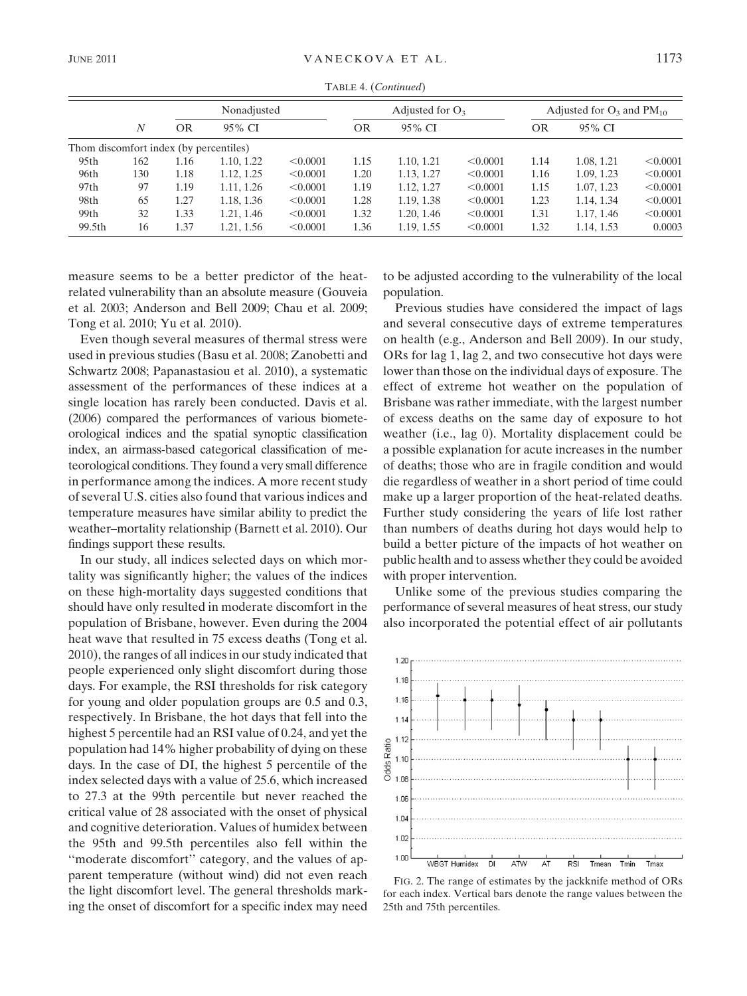|                                        |     | Nonadjusted |            |          |           | Adjusted for $O_3$ |          | Adjusted for $O_3$ and $PM_{10}$ |            |          |
|----------------------------------------|-----|-------------|------------|----------|-----------|--------------------|----------|----------------------------------|------------|----------|
|                                        | N   | <b>OR</b>   | 95% CI     |          | <b>OR</b> | 95% CI             |          | OR                               | 95% CI     |          |
| Thom discomfort index (by percentiles) |     |             |            |          |           |                    |          |                                  |            |          |
| 95th                                   | 162 | 1.16        | 1.10, 1.22 | < 0.0001 | 1.15      | 1.10, 1.21         | < 0.0001 | 1.14                             | 1.08, 1.21 | < 0.0001 |
| 96th                                   | 130 | 1.18        | 1.12, 1.25 | < 0.0001 | 1.20      | 1.13, 1.27         | < 0.0001 | 1.16                             | 1.09, 1.23 | < 0.0001 |
| 97th                                   | 97  | 1.19        | 1.11, 1.26 | < 0.0001 | 1.19      | 1.12, 1.27         | < 0.0001 | 1.15                             | 1.07, 1.23 | < 0.0001 |
| 98th                                   | 65  | 1.27        | 1.18, 1.36 | < 0.0001 | 1.28      | 1.19, 1.38         | < 0.0001 | 1.23                             | 1.14, 1.34 | < 0.0001 |
| 99th                                   | 32  | 1.33        | 1.21, 1.46 | < 0.0001 | 1.32      | 1.20, 1.46         | < 0.0001 | 1.31                             | 1.17, 1.46 | < 0.0001 |
| 99.5th                                 | 16  | 1.37        | 1.21. 1.56 | < 0.0001 | 1.36      | 1.19, 1.55         | < 0.0001 | 1.32                             | 1.14, 1.53 | 0.0003   |

TABLE 4. (Continued)

measure seems to be a better predictor of the heatrelated vulnerability than an absolute measure (Gouveia et al. 2003; Anderson and Bell 2009; Chau et al. 2009; Tong et al. 2010; Yu et al. 2010).

Even though several measures of thermal stress were used in previous studies (Basu et al. 2008; Zanobetti and Schwartz 2008; Papanastasiou et al. 2010), a systematic assessment of the performances of these indices at a single location has rarely been conducted. Davis et al. (2006) compared the performances of various biometeorological indices and the spatial synoptic classification index, an airmass-based categorical classification of meteorological conditions. They found a very small difference in performance among the indices. A more recent study of several U.S. cities also found that various indices and temperature measures have similar ability to predict the weather–mortality relationship (Barnett et al. 2010). Our findings support these results.

In our study, all indices selected days on which mortality was significantly higher; the values of the indices on these high-mortality days suggested conditions that should have only resulted in moderate discomfort in the population of Brisbane, however. Even during the 2004 heat wave that resulted in 75 excess deaths (Tong et al. 2010), the ranges of all indices in our study indicated that people experienced only slight discomfort during those days. For example, the RSI thresholds for risk category for young and older population groups are 0.5 and 0.3, respectively. In Brisbane, the hot days that fell into the highest 5 percentile had an RSI value of 0.24, and yet the population had 14% higher probability of dying on these days. In the case of DI, the highest 5 percentile of the index selected days with a value of 25.6, which increased to 27.3 at the 99th percentile but never reached the critical value of 28 associated with the onset of physical and cognitive deterioration. Values of humidex between the 95th and 99.5th percentiles also fell within the ''moderate discomfort'' category, and the values of apparent temperature (without wind) did not even reach the light discomfort level. The general thresholds marking the onset of discomfort for a specific index may need

to be adjusted according to the vulnerability of the local population.

Previous studies have considered the impact of lags and several consecutive days of extreme temperatures on health (e.g., Anderson and Bell 2009). In our study, ORs for lag 1, lag 2, and two consecutive hot days were lower than those on the individual days of exposure. The effect of extreme hot weather on the population of Brisbane was rather immediate, with the largest number of excess deaths on the same day of exposure to hot weather (i.e., lag 0). Mortality displacement could be a possible explanation for acute increases in the number of deaths; those who are in fragile condition and would die regardless of weather in a short period of time could make up a larger proportion of the heat-related deaths. Further study considering the years of life lost rather than numbers of deaths during hot days would help to build a better picture of the impacts of hot weather on public health and to assess whether they could be avoided with proper intervention.

Unlike some of the previous studies comparing the performance of several measures of heat stress, our study also incorporated the potential effect of air pollutants



FIG. 2. The range of estimates by the jackknife method of ORs for each index. Vertical bars denote the range values between the 25th and 75th percentiles.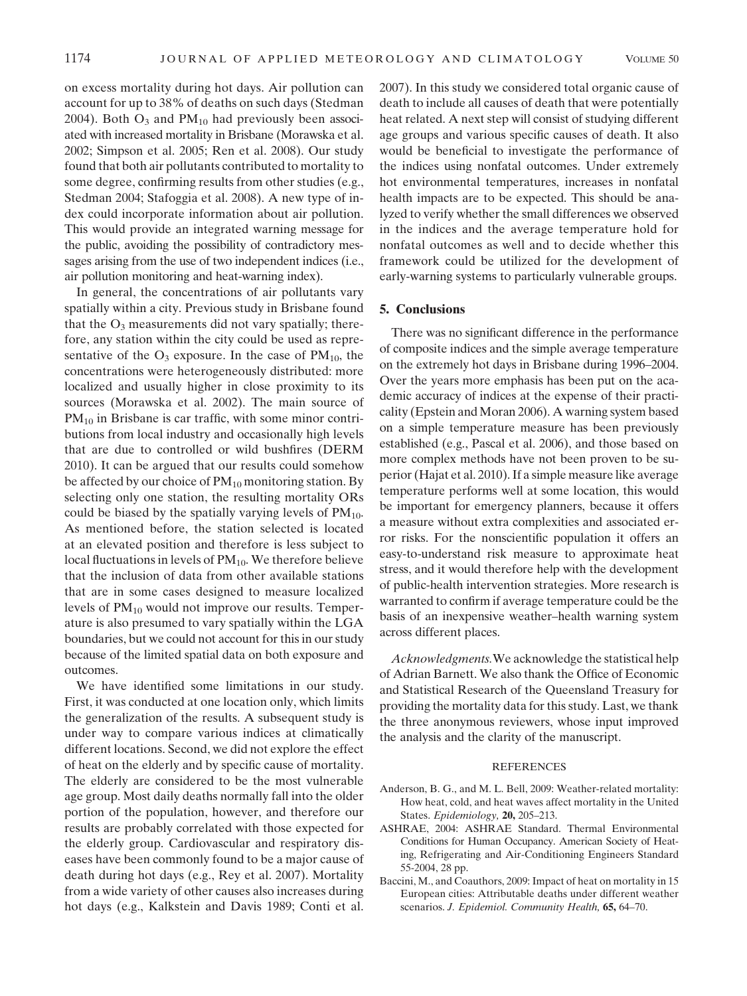on excess mortality during hot days. Air pollution can account for up to 38% of deaths on such days (Stedman 2004). Both  $O_3$  and  $PM_{10}$  had previously been associated with increased mortality in Brisbane (Morawska et al. 2002; Simpson et al. 2005; Ren et al. 2008). Our study found that both air pollutants contributed to mortality to some degree, confirming results from other studies (e.g., Stedman 2004; Stafoggia et al. 2008). A new type of index could incorporate information about air pollution. This would provide an integrated warning message for the public, avoiding the possibility of contradictory messages arising from the use of two independent indices (i.e., air pollution monitoring and heat-warning index).

In general, the concentrations of air pollutants vary spatially within a city. Previous study in Brisbane found that the  $O_3$  measurements did not vary spatially; therefore, any station within the city could be used as representative of the  $O_3$  exposure. In the case of  $PM_{10}$ , the concentrations were heterogeneously distributed: more localized and usually higher in close proximity to its sources (Morawska et al. 2002). The main source of  $PM_{10}$  in Brisbane is car traffic, with some minor contributions from local industry and occasionally high levels that are due to controlled or wild bushfires (DERM 2010). It can be argued that our results could somehow be affected by our choice of  $PM_{10}$  monitoring station. By selecting only one station, the resulting mortality ORs could be biased by the spatially varying levels of  $PM_{10}$ . As mentioned before, the station selected is located at an elevated position and therefore is less subject to local fluctuations in levels of  $PM_{10}$ . We therefore believe that the inclusion of data from other available stations that are in some cases designed to measure localized levels of  $PM_{10}$  would not improve our results. Temperature is also presumed to vary spatially within the LGA boundaries, but we could not account for this in our study because of the limited spatial data on both exposure and outcomes.

We have identified some limitations in our study. First, it was conducted at one location only, which limits the generalization of the results. A subsequent study is under way to compare various indices at climatically different locations. Second, we did not explore the effect of heat on the elderly and by specific cause of mortality. The elderly are considered to be the most vulnerable age group. Most daily deaths normally fall into the older portion of the population, however, and therefore our results are probably correlated with those expected for the elderly group. Cardiovascular and respiratory diseases have been commonly found to be a major cause of death during hot days (e.g., Rey et al. 2007). Mortality from a wide variety of other causes also increases during hot days (e.g., Kalkstein and Davis 1989; Conti et al.

2007). In this study we considered total organic cause of death to include all causes of death that were potentially heat related. A next step will consist of studying different age groups and various specific causes of death. It also would be beneficial to investigate the performance of the indices using nonfatal outcomes. Under extremely hot environmental temperatures, increases in nonfatal health impacts are to be expected. This should be analyzed to verify whether the small differences we observed in the indices and the average temperature hold for nonfatal outcomes as well and to decide whether this framework could be utilized for the development of early-warning systems to particularly vulnerable groups.

### 5. Conclusions

There was no significant difference in the performance of composite indices and the simple average temperature on the extremely hot days in Brisbane during 1996–2004. Over the years more emphasis has been put on the academic accuracy of indices at the expense of their practicality (Epstein and Moran 2006). A warning system based on a simple temperature measure has been previously established (e.g., Pascal et al. 2006), and those based on more complex methods have not been proven to be superior (Hajat et al. 2010). If a simple measure like average temperature performs well at some location, this would be important for emergency planners, because it offers a measure without extra complexities and associated error risks. For the nonscientific population it offers an easy-to-understand risk measure to approximate heat stress, and it would therefore help with the development of public-health intervention strategies. More research is warranted to confirm if average temperature could be the basis of an inexpensive weather–health warning system across different places.

Acknowledgments.We acknowledge the statistical help of Adrian Barnett. We also thank the Office of Economic and Statistical Research of the Queensland Treasury for providing the mortality data for this study. Last, we thank the three anonymous reviewers, whose input improved the analysis and the clarity of the manuscript.

#### REFERENCES

- Anderson, B. G., and M. L. Bell, 2009: Weather-related mortality: How heat, cold, and heat waves affect mortality in the United States. Epidemiology, 20, 205-213.
- ASHRAE, 2004: ASHRAE Standard. Thermal Environmental Conditions for Human Occupancy. American Society of Heating, Refrigerating and Air-Conditioning Engineers Standard 55-2004, 28 pp.
- Baccini, M., and Coauthors, 2009: Impact of heat on mortality in 15 European cities: Attributable deaths under different weather scenarios. J. Epidemiol. Community Health, 65, 64-70.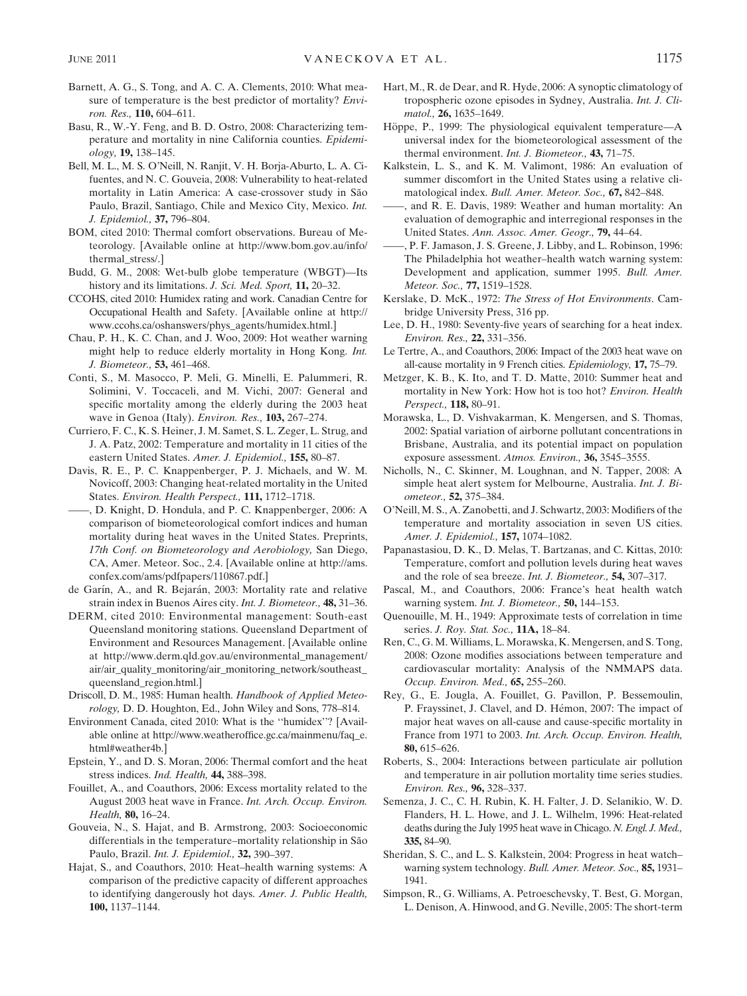- Barnett, A. G., S. Tong, and A. C. A. Clements, 2010: What measure of temperature is the best predictor of mortality? Environ. Res., 110, 604–611.
- Basu, R., W.-Y. Feng, and B. D. Ostro, 2008: Characterizing temperature and mortality in nine California counties. Epidemiology, 19, 138–145.
- Bell, M. L., M. S. O'Neill, N. Ranjit, V. H. Borja-Aburto, L. A. Cifuentes, and N. C. Gouveia, 2008: Vulnerability to heat-related mortality in Latin America: A case-crossover study in São Paulo, Brazil, Santiago, Chile and Mexico City, Mexico. Int. J. Epidemiol., 37, 796–804.
- BOM, cited 2010: Thermal comfort observations. Bureau of Meteorology. [Available online at http://www.bom.gov.au/info/ thermal\_stress/.]
- Budd, G. M., 2008: Wet-bulb globe temperature (WBGT)—Its history and its limitations. J. Sci. Med. Sport, 11, 20-32.
- CCOHS, cited 2010: Humidex rating and work. Canadian Centre for Occupational Health and Safety. [Available online at http:// www.ccohs.ca/oshanswers/phys\_agents/humidex.html.]
- Chau, P. H., K. C. Chan, and J. Woo, 2009: Hot weather warning might help to reduce elderly mortality in Hong Kong. Int. J. Biometeor., 53, 461–468.
- Conti, S., M. Masocco, P. Meli, G. Minelli, E. Palummeri, R. Solimini, V. Toccaceli, and M. Vichi, 2007: General and specific mortality among the elderly during the 2003 heat wave in Genoa (Italy). Environ. Res., 103, 267–274.
- Curriero, F. C., K. S. Heiner, J. M. Samet, S. L. Zeger, L. Strug, and J. A. Patz, 2002: Temperature and mortality in 11 cities of the eastern United States. Amer. J. Epidemiol., 155, 80-87.
- Davis, R. E., P. C. Knappenberger, P. J. Michaels, and W. M. Novicoff, 2003: Changing heat-related mortality in the United States. Environ. Health Perspect., 111, 1712-1718.
- ——, D. Knight, D. Hondula, and P. C. Knappenberger, 2006: A comparison of biometeorological comfort indices and human mortality during heat waves in the United States. Preprints, 17th Conf. on Biometeorology and Aerobiology, San Diego, CA, Amer. Meteor. Soc., 2.4. [Available online at http://ams. confex.com/ams/pdfpapers/110867.pdf.]
- de Garín, A., and R. Bejarán, 2003: Mortality rate and relative strain index in Buenos Aires city. Int. J. Biometeor., 48, 31-36.
- DERM, cited 2010: Environmental management: South-east Queensland monitoring stations. Queensland Department of Environment and Resources Management. [Available online at http://www.derm.qld.gov.au/environmental\_management/ air/air\_quality\_monitoring/air\_monitoring\_network/southeast\_ queensland\_region.html.]
- Driscoll, D. M., 1985: Human health. Handbook of Applied Meteorology, D. D. Houghton, Ed., John Wiley and Sons, 778–814.
- Environment Canada, cited 2010: What is the ''humidex''? [Available online at http://www.weatheroffice.gc.ca/mainmenu/faq\_e. html#weather4b.]
- Epstein, Y., and D. S. Moran, 2006: Thermal comfort and the heat stress indices. Ind. Health, 44, 388–398.
- Fouillet, A., and Coauthors, 2006: Excess mortality related to the August 2003 heat wave in France. Int. Arch. Occup. Environ. Health, 80, 16–24.
- Gouveia, N., S. Hajat, and B. Armstrong, 2003: Socioeconomic differentials in the temperature–mortality relationship in São Paulo, Brazil. Int. J. Epidemiol., 32, 390–397.
- Hajat, S., and Coauthors, 2010: Heat–health warning systems: A comparison of the predictive capacity of different approaches to identifying dangerously hot days. Amer. J. Public Health, 100, 1137–1144.
- Hart, M., R. de Dear, and R. Hyde, 2006: A synoptic climatology of tropospheric ozone episodes in Sydney, Australia. Int. J. Climatol., 26, 1635–1649.
- Höppe, P., 1999: The physiological equivalent temperature-A universal index for the biometeorological assessment of the thermal environment. Int. J. Biometeor., 43, 71-75.
- Kalkstein, L. S., and K. M. Valimont, 1986: An evaluation of summer discomfort in the United States using a relative climatological index. Bull. Amer. Meteor. Soc., 67, 842–848.
- ——, and R. E. Davis, 1989: Weather and human mortality: An evaluation of demographic and interregional responses in the United States. Ann. Assoc. Amer. Geogr., 79, 44–64.
- ——, P. F. Jamason, J. S. Greene, J. Libby, and L. Robinson, 1996: The Philadelphia hot weather–health watch warning system: Development and application, summer 1995. Bull. Amer. Meteor. Soc., 77, 1519–1528.
- Kerslake, D. McK., 1972: The Stress of Hot Environments. Cambridge University Press, 316 pp.
- Lee, D. H., 1980: Seventy-five years of searching for a heat index. Environ. Res., 22, 331–356.
- Le Tertre, A., and Coauthors, 2006: Impact of the 2003 heat wave on all-cause mortality in 9 French cities. Epidemiology, 17, 75–79.
- Metzger, K. B., K. Ito, and T. D. Matte, 2010: Summer heat and mortality in New York: How hot is too hot? Environ. Health Perspect., 118, 80–91.
- Morawska, L., D. Vishvakarman, K. Mengersen, and S. Thomas, 2002: Spatial variation of airborne pollutant concentrations in Brisbane, Australia, and its potential impact on population exposure assessment. Atmos. Environ., 36, 3545–3555.
- Nicholls, N., C. Skinner, M. Loughnan, and N. Tapper, 2008: A simple heat alert system for Melbourne, Australia. Int. J. Biometeor., 52, 375–384.
- O'Neill, M. S., A. Zanobetti, and J. Schwartz, 2003: Modifiers of the temperature and mortality association in seven US cities. Amer. J. Epidemiol., 157, 1074–1082.
- Papanastasiou, D. K., D. Melas, T. Bartzanas, and C. Kittas, 2010: Temperature, comfort and pollution levels during heat waves and the role of sea breeze. Int. J. Biometeor., 54, 307–317.
- Pascal, M., and Coauthors, 2006: France's heat health watch warning system. Int. J. Biometeor., 50, 144-153.
- Quenouille, M. H., 1949: Approximate tests of correlation in time series. *J. Roy. Stat. Soc.*, **11A**, 18-84.
- Ren, C., G. M. Williams, L. Morawska, K. Mengersen, and S. Tong, 2008: Ozone modifies associations between temperature and cardiovascular mortality: Analysis of the NMMAPS data. Occup. Environ. Med., 65, 255–260.
- Rey, G., E. Jougla, A. Fouillet, G. Pavillon, P. Bessemoulin, P. Frayssinet, J. Clavel, and D. Hémon, 2007: The impact of major heat waves on all-cause and cause-specific mortality in France from 1971 to 2003. Int. Arch. Occup. Environ. Health, 80, 615–626.
- Roberts, S., 2004: Interactions between particulate air pollution and temperature in air pollution mortality time series studies. Environ. Res., 96, 328–337.
- Semenza, J. C., C. H. Rubin, K. H. Falter, J. D. Selanikio, W. D. Flanders, H. L. Howe, and J. L. Wilhelm, 1996: Heat-related deaths during the July 1995 heat wave in Chicago. N. Engl. J. Med., 335, 84–90.
- Sheridan, S. C., and L. S. Kalkstein, 2004: Progress in heat watch– warning system technology. Bull. Amer. Meteor. Soc., 85, 1931– 1941.
- Simpson, R., G. Williams, A. Petroeschevsky, T. Best, G. Morgan, L. Denison, A. Hinwood, and G. Neville, 2005: The short-term